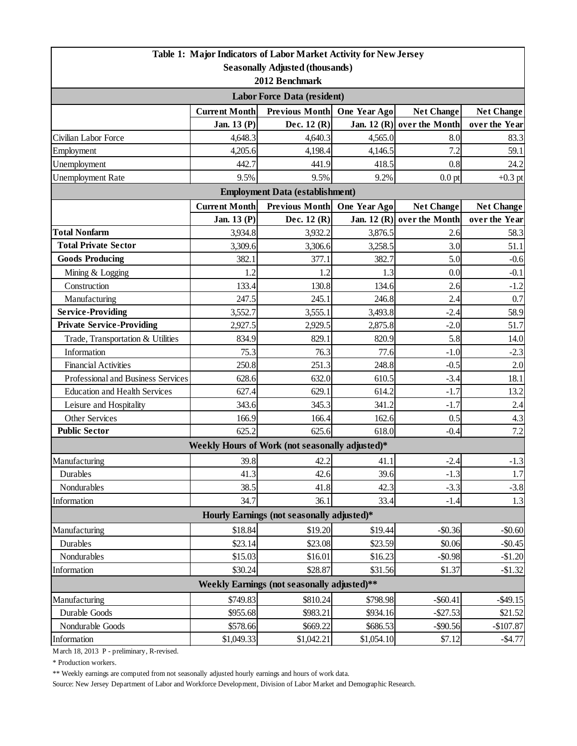| <b>Seasonally Adjusted (thousands)</b>                                             |                   |  |  |  |  |  |  |  |
|------------------------------------------------------------------------------------|-------------------|--|--|--|--|--|--|--|
| 2012 Benchmark                                                                     |                   |  |  |  |  |  |  |  |
| <b>Labor Force Data (resident)</b>                                                 |                   |  |  |  |  |  |  |  |
| <b>Previous Month</b><br><b>Current Month</b><br>One Year Ago<br><b>Net Change</b> | <b>Net Change</b> |  |  |  |  |  |  |  |
| Jan. 13 (P)<br>Dec. 12 (R)<br>Jan. 12 (R) over the Month                           | over the Year     |  |  |  |  |  |  |  |
| 4,648.3<br>Civilian Labor Force<br>4,640.3<br>4,565.0<br>8.0                       | 83.3              |  |  |  |  |  |  |  |
| 7.2<br>Employment<br>4,205.6<br>4,198.4<br>4,146.5                                 | 59.1              |  |  |  |  |  |  |  |
| Unemployment<br>442.7<br>441.9<br>418.5<br>0.8                                     | 24.2              |  |  |  |  |  |  |  |
| <b>Unemployment Rate</b><br>9.5%<br>9.2%<br>9.5%<br>$0.0$ pt                       | $+0.3$ pt         |  |  |  |  |  |  |  |
| <b>Employment Data (establishment)</b>                                             |                   |  |  |  |  |  |  |  |
| <b>Current Month</b><br><b>Previous Month</b><br>One Year Ago<br><b>Net Change</b> | <b>Net Change</b> |  |  |  |  |  |  |  |
| Dec. 12 (R)<br>Jan. 12 (R) over the Month<br>Jan. 13 (P)                           | over the Year     |  |  |  |  |  |  |  |
| <b>Total Nonfarm</b><br>3,876.5<br>3,934.8<br>3,932.2<br>2.6                       | 58.3              |  |  |  |  |  |  |  |
| <b>Total Private Sector</b><br>3.0<br>3,309.6<br>3,258.5<br>3,306.6                | 51.1              |  |  |  |  |  |  |  |
| <b>Goods Producing</b><br>382.1<br>377.1<br>382.7<br>5.0                           | $-0.6$            |  |  |  |  |  |  |  |
| Mining & Logging<br>0.0<br>1.2<br>1.2<br>1.3                                       | $-0.1$            |  |  |  |  |  |  |  |
| Construction<br>133.4<br>2.6<br>130.8<br>134.6                                     | $-1.2$            |  |  |  |  |  |  |  |
| Manufacturing<br>247.5<br>245.1<br>246.8<br>2.4                                    | 0.7               |  |  |  |  |  |  |  |
| <b>Service-Providing</b><br>3,552.7<br>3,555.1<br>3,493.8<br>$-2.4$                | 58.9              |  |  |  |  |  |  |  |
| <b>Private Service-Providing</b><br>2,927.5<br>2,929.5<br>2,875.8<br>$-2.0$        | 51.7              |  |  |  |  |  |  |  |
| 829.1<br>820.9<br>5.8<br>Trade, Transportation & Utilities<br>834.9                | 14.0              |  |  |  |  |  |  |  |
| Information<br>75.3<br>76.3<br>77.6<br>$-1.0$                                      | $-2.3$            |  |  |  |  |  |  |  |
| <b>Financial Activities</b><br>250.8<br>251.3<br>248.8<br>$-0.5$                   | 2.0               |  |  |  |  |  |  |  |
| 628.6<br>632.0<br>610.5<br>$-3.4$<br>Professional and Business Services            | 18.1              |  |  |  |  |  |  |  |
| 614.2<br><b>Education and Health Services</b><br>627.4<br>629.1<br>$-1.7$          | 13.2              |  |  |  |  |  |  |  |
| Leisure and Hospitality<br>343.6<br>345.3<br>341.2<br>$-1.7$                       | 2.4               |  |  |  |  |  |  |  |
| Other Services<br>162.6<br>0.5<br>166.9<br>166.4                                   | 4.3               |  |  |  |  |  |  |  |
| <b>Public Sector</b><br>625.2<br>618.0<br>625.6<br>$-0.4$                          | 7.2               |  |  |  |  |  |  |  |
| Weekly Hours of Work (not seasonally adjusted)*                                    |                   |  |  |  |  |  |  |  |
| 39.8<br>42.2<br>Manufacturing<br>41.1<br>$-2.4$                                    | $-1.3$            |  |  |  |  |  |  |  |
| 41.3<br>Durables<br>42.6<br>39.6<br>$-1.3$                                         | 1.7               |  |  |  |  |  |  |  |
| $-3.3$<br>Nondurables<br>38.5<br>42.3<br>41.8                                      | $-3.8$            |  |  |  |  |  |  |  |
| Information<br>34.7<br>33.4<br>36.1<br>$-1.4$                                      | 1.3               |  |  |  |  |  |  |  |
| Hourly Earnings (not seasonally adjusted)*                                         |                   |  |  |  |  |  |  |  |
| \$19.20<br>\$18.84<br>\$19.44<br>Manufacturing<br>$-$0.36$                         | $-$0.60$          |  |  |  |  |  |  |  |
| Durables<br>\$23.14<br>\$23.08<br>\$23.59<br>\$0.06                                | $-$0.45$          |  |  |  |  |  |  |  |
| Nondurables<br>\$15.03<br>\$16.01<br>\$16.23<br>$-$0.98$                           | $-$1.20$          |  |  |  |  |  |  |  |
| \$30.24<br>\$28.87<br>\$31.56<br>Information<br>\$1.37                             | $-$1.32$          |  |  |  |  |  |  |  |
| Weekly Earnings (not seasonally adjusted)**                                        |                   |  |  |  |  |  |  |  |
| \$749.83<br>\$810.24<br>\$798.98<br>$-$ \$60.41<br>Manufacturing<br>$-$49.15$      |                   |  |  |  |  |  |  |  |
| Durable Goods<br>\$955.68<br>\$983.21<br>\$934.16<br>$-$27.53$                     | \$21.52           |  |  |  |  |  |  |  |
| \$578.66<br>\$686.53<br>Nondurable Goods<br>\$669.22<br>$-$90.56$                  | $-$107.87$        |  |  |  |  |  |  |  |
| \$1,042.21<br>\$1,054.10<br>\$1,049.33<br>\$7.12<br>Information                    | $-$4.77$          |  |  |  |  |  |  |  |

March 18, 2013 P - preliminary, R-revised.

 $^\ast$  Production workers.

\*\* Weekly earnings are computed from not seasonally adjusted hourly earnings and hours of work data.

Source: New Jersey Department of Labor and Workforce Development, Division of Labor Market and Demographic Research.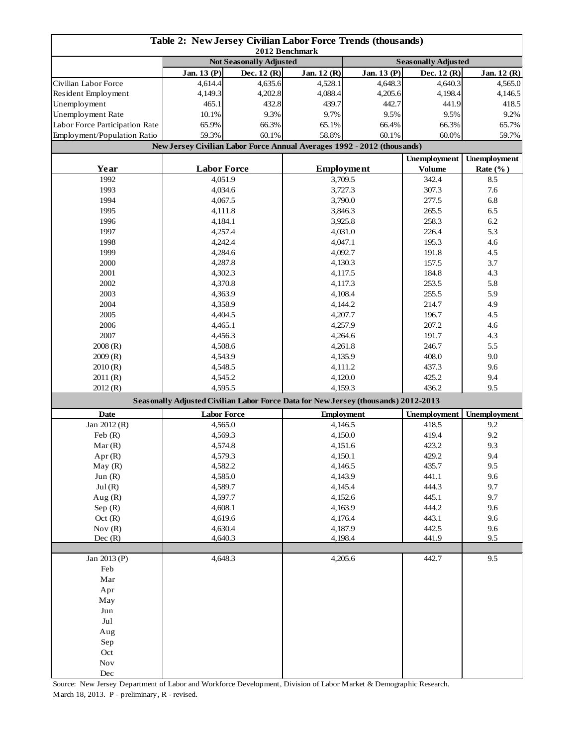| Table 2: New Jersey Civilian Labor Force Trends (thousands)<br>2012 Benchmark |                                                                                    |                                |                    |                            |                     |                     |  |
|-------------------------------------------------------------------------------|------------------------------------------------------------------------------------|--------------------------------|--------------------|----------------------------|---------------------|---------------------|--|
|                                                                               |                                                                                    | <b>Not Seasonally Adjusted</b> |                    | <b>Seasonally Adjusted</b> |                     |                     |  |
|                                                                               | Jan. 13 (P)                                                                        | Dec. $12(R)$                   | Jan. 12 (R)        | Jan. 13 (P)                | Dec. $12(R)$        | Jan. 12 (R)         |  |
| Civilian Labor Force                                                          | 4,614.4                                                                            | 4,635.6                        | 4,528.1            | 4.648.3                    | 4,640.3             | 4,565.0             |  |
| Resident Employment                                                           | 4,149.3                                                                            | 4,202.8                        | 4,088.4            | 4,205.6                    | 4,198.4             | 4,146.5             |  |
| Unemployment                                                                  | 465.1                                                                              | 432.8                          | 439.7              | 442.7                      | 441.9               | 418.5               |  |
| Unemployment Rate                                                             | 10.1%                                                                              | 9.3%                           | 9.7%               | 9.5%                       | 9.5%                | 9.2%                |  |
| Labor Force Participation Rate                                                | 65.9%                                                                              | 66.3%                          | 65.1%              | 66.4%                      | 66.3%               | 65.7%               |  |
| Employment/Population Ratio                                                   | 59.3%                                                                              | 60.1%                          | 58.8%              | 60.1%                      | 60.0%               | 59.7%               |  |
|                                                                               | New Jersey Civilian Labor Force Annual Averages 1992 - 2012 (thousands)            |                                |                    |                            |                     |                     |  |
|                                                                               |                                                                                    |                                |                    |                            | <b>Unemployment</b> | <b>Unemployment</b> |  |
| Year                                                                          | <b>Labor Force</b>                                                                 |                                |                    | <b>Employment</b>          |                     | Rate $(\%$ )        |  |
| 1992                                                                          | 4,051.9                                                                            |                                | 3,709.5            |                            | 342.4               | 8.5                 |  |
| 1993                                                                          | 4,034.6                                                                            |                                | 3,727.3            |                            | 307.3               | 7.6                 |  |
| 1994                                                                          | 4,067.5                                                                            |                                | 3,790.0            |                            | 277.5               | 6.8                 |  |
| 1995                                                                          | 4,111.8                                                                            |                                | 3,846.3            |                            | 265.5               | 6.5                 |  |
| 1996                                                                          | 4,184.1                                                                            |                                |                    | 3,925.8                    | 258.3               | 6.2                 |  |
| 1997                                                                          | 4,257.4                                                                            |                                |                    | 4,031.0                    | 226.4               | 5.3                 |  |
| 1998                                                                          | 4,242.4                                                                            |                                | 4,047.1            |                            | 195.3               | 4.6                 |  |
| 1999                                                                          | 4,284.6                                                                            |                                | 4,092.7            |                            | 191.8               | 4.5                 |  |
| 2000                                                                          | 4,287.8                                                                            |                                | 4,130.3            |                            | 157.5               | 3.7                 |  |
| 2001                                                                          | 4,302.3                                                                            |                                | 4,117.5            |                            | 184.8               | 4.3                 |  |
| 2002                                                                          | 4,370.8                                                                            |                                | 4,117.3            |                            | 253.5               | 5.8                 |  |
| 2003                                                                          | 4,363.9                                                                            |                                | 4,108.4            |                            | 255.5               | 5.9                 |  |
| 2004                                                                          | 4,358.9                                                                            |                                | 4,144.2            |                            | 214.7               | 4.9                 |  |
| 2005                                                                          | 4,404.5                                                                            |                                | 4,207.7            |                            | 196.7               | 4.5                 |  |
| 2006                                                                          | 4,465.1                                                                            |                                | 4,257.9            |                            | 207.2               | 4.6                 |  |
| 2007                                                                          | 4,456.3                                                                            |                                | 4,264.6            |                            | 191.7               | 4.3                 |  |
| 2008(R)                                                                       | 4,508.6                                                                            |                                | 4,261.8            |                            | 246.7               | 5.5                 |  |
| 2009(R)                                                                       | 4,543.9                                                                            |                                | 4,135.9            |                            | 408.0               | 9.0                 |  |
| 2010(R)                                                                       | 4,548.5                                                                            |                                | 4,111.2            |                            | 437.3               | 9.6                 |  |
| 2011(R)                                                                       | 4,545.2                                                                            |                                | 4,120.0            |                            | 425.2               | 9.4                 |  |
| 2012(R)                                                                       | 4,595.5                                                                            |                                | 4,159.3            |                            | 436.2               | 9.5                 |  |
|                                                                               | Seasonally Adjusted Civilian Labor Force Data for New Jersey (thousands) 2012-2013 |                                |                    |                            |                     |                     |  |
| <b>Date</b>                                                                   | <b>Labor Force</b>                                                                 |                                | <b>Employment</b>  |                            | <b>Unemployment</b> | <b>Unemployment</b> |  |
| Jan 2012 (R)                                                                  | 4,565.0                                                                            |                                | 4,146.5            |                            | 418.5               | 9.2                 |  |
| Feb $(R)$                                                                     | 4,569.3                                                                            |                                | 4,150.0            |                            | 419.4               | 9.2                 |  |
| Mar(R)                                                                        | 4,574.8<br>4,579.3                                                                 |                                | 4,151.6<br>4,150.1 |                            | 423.2<br>429.2      | 9.3                 |  |
| Apr (R)                                                                       |                                                                                    |                                |                    |                            |                     | 9.4                 |  |
| May(R)                                                                        | 4,582.2                                                                            |                                | 4,146.5            |                            | 435.7               | 9.5                 |  |
| Jun $(R)$<br>Jul(R)                                                           | 4,585.0                                                                            |                                | 4,143.9<br>4,145.4 |                            | 441.1<br>444.3      | 9.6<br>9.7          |  |
| Aug $(R)$                                                                     | 4,589.7<br>4,597.7                                                                 |                                | 4,152.6            |                            | 445.1               | 9.7                 |  |
| Sep $(R)$                                                                     | 4,608.1                                                                            |                                |                    |                            | 444.2               | 9.6                 |  |
| Oct(R)                                                                        | 4,619.6                                                                            |                                | 4,163.9            |                            | 443.1               | 9.6                 |  |
| Nov $(R)$                                                                     | 4,630.4                                                                            |                                | 4,176.4<br>4,187.9 |                            | 442.5               | 9.6                 |  |
| Dec(R)                                                                        | 4,640.3                                                                            |                                | 4,198.4            |                            | 441.9               | 9.5                 |  |
|                                                                               |                                                                                    |                                |                    |                            |                     |                     |  |
| Jan 2013 (P)                                                                  | 4,648.3                                                                            |                                | 4,205.6            |                            | 442.7               | 9.5                 |  |
| Feb                                                                           |                                                                                    |                                |                    |                            |                     |                     |  |
| $\operatorname{Mar}$                                                          |                                                                                    |                                |                    |                            |                     |                     |  |
| Apr                                                                           |                                                                                    |                                |                    |                            |                     |                     |  |
| May                                                                           |                                                                                    |                                |                    |                            |                     |                     |  |
| Jun                                                                           |                                                                                    |                                |                    |                            |                     |                     |  |
| Jul                                                                           |                                                                                    |                                |                    |                            |                     |                     |  |
| Aug                                                                           |                                                                                    |                                |                    |                            |                     |                     |  |
| Sep                                                                           |                                                                                    |                                |                    |                            |                     |                     |  |
| Oct                                                                           |                                                                                    |                                |                    |                            |                     |                     |  |
| $\operatorname{Nov}$                                                          |                                                                                    |                                |                    |                            |                     |                     |  |
| Dec                                                                           |                                                                                    |                                |                    |                            |                     |                     |  |

Source: New Jersey Department of Labor and Workforce Development, Division of Labor Market & Demographic Research. March 18, 2013. P - preliminary, R - revised.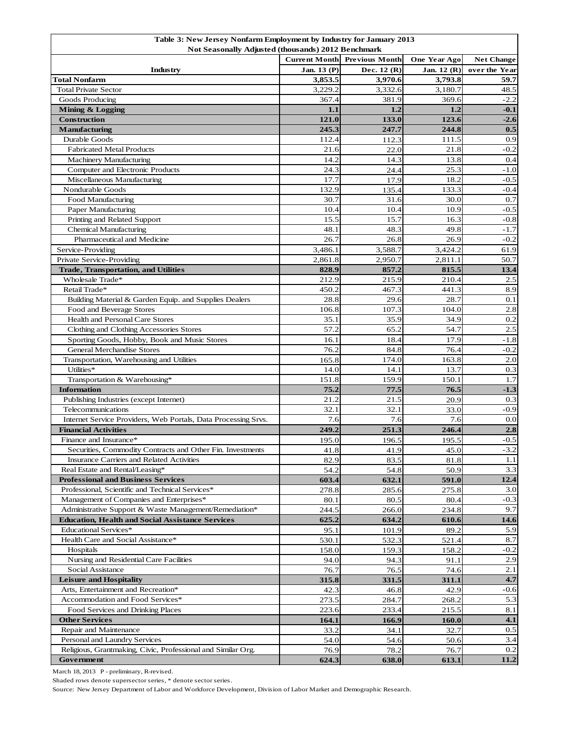| Table 3: New Jersey Nonfarm Employment by Industry for January 2013 |                      |                       |              |                   |  |  |  |
|---------------------------------------------------------------------|----------------------|-----------------------|--------------|-------------------|--|--|--|
| Not Seasonally Adjusted (thousands) 2012 Benchmark                  |                      |                       |              |                   |  |  |  |
|                                                                     | <b>Current Month</b> | <b>Previous Month</b> | One Year Ago | <b>Net Change</b> |  |  |  |
| Industry                                                            | Jan. 13 (P)          | Dec. 12 (R)           | Jan. 12 (R)  | over the Year     |  |  |  |
| <b>Total Nonfarm</b>                                                | 3,853.5              | 3,970.6               | 3,793.8      | 59.7              |  |  |  |
| <b>Total Private Sector</b>                                         | 3,229.2              | 3,332.6               | 3,180.7      | 48.5              |  |  |  |
| Goods Producing                                                     | 367.4                | 381.9                 | 369.6        | $-2.2$            |  |  |  |
| Mining & Logging                                                    | 1.1                  | 1.2                   | 1.2          | $-0.1$            |  |  |  |
| <b>Construction</b>                                                 | 121.0                | 133.0                 | 123.6        | $-2.6$            |  |  |  |
| <b>Manufacturing</b>                                                | 245.3                | 247.7                 | 244.8        | 0.5               |  |  |  |
| Durable Goods                                                       | 112.4                | 112.3                 | 111.5        | 0.9               |  |  |  |
| <b>Fabricated Metal Products</b>                                    | 21.6                 | 22.0                  | 21.8         | $-0.2$            |  |  |  |
| <b>Machinery Manufacturing</b>                                      | 14.2                 | 14.3                  | 13.8         | 0.4               |  |  |  |
| Computer and Electronic Products                                    | 24.3                 | 24.4                  | 25.3         | $-1.0$            |  |  |  |
| Miscellaneous Manufacturing                                         | 17.7                 | 17.9                  | 18.2         | $-0.5$            |  |  |  |
| Nondurable Goods                                                    | 132.9                | 135.4                 | 133.3        | $-0.4$            |  |  |  |
| Food Manufacturing                                                  | 30.7                 | 31.6                  | 30.0         | 0.7               |  |  |  |
| Paper Manufacturing                                                 | 10.4                 | 10.4                  | 10.9         | $-0.5$            |  |  |  |
| Printing and Related Support                                        | 15.5                 | 15.7                  | 16.3         | $-0.8$            |  |  |  |
| <b>Chemical Manufacturing</b>                                       | 48.1                 | 48.3                  | 49.8         | $-1.7$            |  |  |  |
| Pharmaceutical and Medicine                                         | 26.7                 | 26.8                  | 26.9         | $-0.2$            |  |  |  |
| Service-Providing                                                   | 3,486.1              | 3,588.7               | 3,424.2      | 61.9              |  |  |  |
| Private Service-Providing                                           | 2,861.8              | 2,950.7               | 2,811.1      | 50.7              |  |  |  |
| <b>Trade, Transportation, and Utilities</b>                         | 828.9                | 857.2                 | 815.5        | 13.4              |  |  |  |
| Wholesale Trade*                                                    | 212.9                | 215.9                 | 210.4        | 2.5               |  |  |  |
| Retail Trade*                                                       | 450.2                | 467.3                 | 441.3        | 8.9               |  |  |  |
|                                                                     | 28.8                 | 29.6                  | 28.7         | 0.1               |  |  |  |
| Building Material & Garden Equip. and Supplies Dealers              |                      | 107.3                 |              |                   |  |  |  |
| Food and Beverage Stores<br>Health and Personal Care Stores         | 106.8                |                       | 104.0        | 2.8<br>0.2        |  |  |  |
|                                                                     | 35.1<br>57.2         | 35.9                  | 34.9         | 2.5               |  |  |  |
| Clothing and Clothing Accessories Stores                            |                      | 65.2                  | 54.7         |                   |  |  |  |
| Sporting Goods, Hobby, Book and Music Stores                        | 16.1                 | 18.4                  | 17.9         | $-1.8$            |  |  |  |
| <b>General Merchandise Stores</b>                                   | 76.2                 | 84.8                  | 76.4         | $-0.2$            |  |  |  |
| Transportation, Warehousing and Utilities                           | 165.8                | 174.0                 | 163.8        | 2.0               |  |  |  |
| Utilities*                                                          | 14.0                 | 14.1                  | 13.7         | 0.3               |  |  |  |
| Transportation & Warehousing*                                       | 151.8                | 159.9                 | 150.1        | 1.7               |  |  |  |
| <b>Information</b>                                                  | 75.2                 | 77.5                  | 76.5         | $-1.3$            |  |  |  |
| Publishing Industries (except Internet)                             | 21.2                 | 21.5                  | 20.9         | 0.3               |  |  |  |
| Telecommunications                                                  | 32.1                 | 32.1                  | 33.0         | $-0.9$            |  |  |  |
| Internet Service Providers, Web Portals, Data Processing Srvs.      | 7.6                  | 7.6                   | 7.6          | 0.0               |  |  |  |
| <b>Financial Activities</b>                                         | 249.2                | 251.3                 | 246.4        | 2.8               |  |  |  |
| Finance and Insurance*                                              | 195.0                | 196.5                 | 195.5        | $-0.5$            |  |  |  |
| Securities, Commodity Contracts and Other Fin. Investments          | 41.8                 | 41.9                  | 45.0         | $-3.2$            |  |  |  |
| <b>Insurance Carriers and Related Activities</b>                    | 82.9                 | 83.5                  | 81.8         | 1.1               |  |  |  |
| Real Estate and Rental/Leasing*                                     | 54.2                 | 54.8                  | 50.9         | 3.3               |  |  |  |
| <b>Professional and Business Services</b>                           | 603.4                | 632.1                 | 591.0        | 12.4              |  |  |  |
| Professional, Scientific and Technical Services*                    | 278.8                | 285.6                 | 275.8        | 3.0               |  |  |  |
| Management of Companies and Enterprises*                            | 80.1                 | 80.5                  | 80.4         | $-0.3$            |  |  |  |
| Administrative Support & Waste Management/Remediation*              | 244.5                | 266.0                 | 234.8        | 9.7               |  |  |  |
| <b>Education, Health and Social Assistance Services</b>             | 625.2                | 634.2                 | 610.6        | 14.6              |  |  |  |
| <b>Educational Services*</b>                                        | 95.1                 | 101.9                 | 89.2         | 5.9               |  |  |  |
| Health Care and Social Assistance*                                  | 530.1                | 532.3                 | 521.4        | 8.7               |  |  |  |
| Hospitals                                                           | 158.0                | 159.3                 | 158.2        | $-0.2$            |  |  |  |
| Nursing and Residential Care Facilities                             | 94.0                 | 94.3                  | 91.1         | 2.9               |  |  |  |
| Social Assistance                                                   | 76.7                 | 76.5                  | 74.6         | 2.1               |  |  |  |
| <b>Leisure and Hospitality</b>                                      | 315.8                | 331.5                 | 311.1        | 4.7               |  |  |  |
| Arts, Entertainment and Recreation*                                 | 42.3                 | 46.8                  | 42.9         | $-0.6$            |  |  |  |
| Accommodation and Food Services*                                    | 273.5                | 284.7                 | 268.2        | 5.3               |  |  |  |
| Food Services and Drinking Places                                   | 223.6                | 233.4                 | 215.5        | 8.1               |  |  |  |
| <b>Other Services</b>                                               | 164.1                | 166.9                 | 160.0        | 4.1               |  |  |  |
| Repair and Maintenance                                              | 33.2                 | 34.1                  | 32.7         | 0.5               |  |  |  |
| Personal and Laundry Services                                       | 54.0                 | 54.6                  | 50.6         | 3.4               |  |  |  |
| Religious, Grantmaking, Civic, Professional and Similar Org.        | 76.9                 | 78.2                  | 76.7         | 0.2               |  |  |  |
| Government                                                          | 624.3                | 638.0                 | 613.1        | 11.2              |  |  |  |

March 18, 2013 P - preliminary, R-revised.

Shaded rows denote supersector series, \* denote sector series.

Source: New Jersey Department of Labor and Workforce Development, Division of Labor Market and Demographic Research.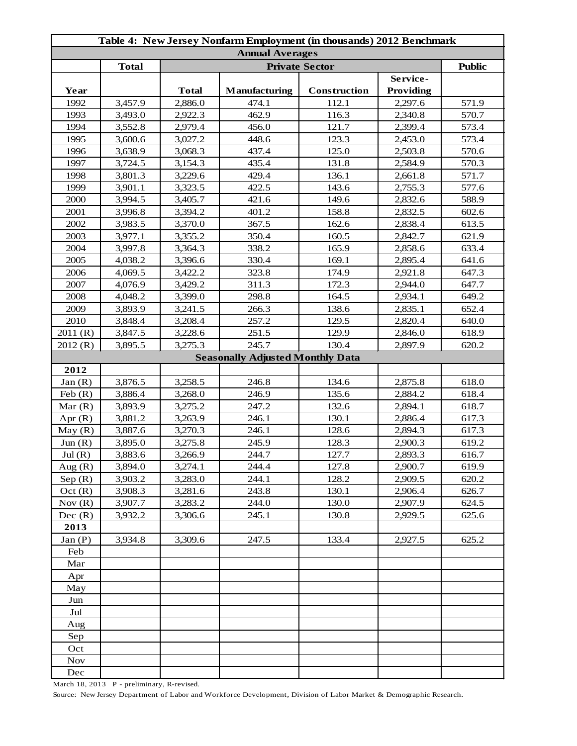| Table 4: New Jersey Nonfarm Employment (in thousands) 2012 Benchmark |                        |                       |                                         |              |                  |               |
|----------------------------------------------------------------------|------------------------|-----------------------|-----------------------------------------|--------------|------------------|---------------|
|                                                                      | <b>Annual Averages</b> |                       |                                         |              |                  |               |
|                                                                      | <b>Total</b>           | <b>Private Sector</b> |                                         |              |                  | <b>Public</b> |
|                                                                      |                        |                       |                                         |              | Service-         |               |
| Year                                                                 |                        | <b>Total</b>          | <b>Manufacturing</b>                    | Construction | <b>Providing</b> |               |
| 1992                                                                 | 3,457.9                | 2,886.0               | 474.1                                   | 112.1        | 2,297.6          | 571.9         |
| 1993                                                                 | 3,493.0                | 2,922.3               | 462.9                                   | 116.3        | 2,340.8          | 570.7         |
| 1994                                                                 | 3,552.8                | 2,979.4               | 456.0                                   | 121.7        | 2,399.4          | 573.4         |
| 1995                                                                 | 3,600.6                | 3,027.2               | 448.6                                   | 123.3        | 2,453.0          | 573.4         |
| 1996                                                                 | 3,638.9                | 3,068.3               | 437.4                                   | 125.0        | 2,503.8          | 570.6         |
| 1997                                                                 | 3,724.5                | 3,154.3               | 435.4                                   | 131.8        | 2,584.9          | 570.3         |
| 1998                                                                 | 3,801.3                | 3,229.6               | 429.4                                   | 136.1        | 2,661.8          | 571.7         |
| 1999                                                                 | 3,901.1                | 3,323.5               | 422.5                                   | 143.6        | 2,755.3          | 577.6         |
| 2000                                                                 | 3,994.5                | 3,405.7               | 421.6                                   | 149.6        | 2,832.6          | 588.9         |
| 2001                                                                 | 3,996.8                | 3,394.2               | 401.2                                   | 158.8        | 2,832.5          | 602.6         |
| 2002                                                                 | 3,983.5                | 3,370.0               | 367.5                                   | 162.6        | 2,838.4          | 613.5         |
| 2003                                                                 | 3,977.1                | 3,355.2               | 350.4                                   | 160.5        | 2,842.7          | 621.9         |
| 2004                                                                 | 3,997.8                | 3,364.3               | 338.2                                   | 165.9        | 2,858.6          | 633.4         |
| 2005                                                                 | 4,038.2                | 3,396.6               | 330.4                                   | 169.1        | 2,895.4          | 641.6         |
| 2006                                                                 | 4,069.5                | 3,422.2               | 323.8                                   | 174.9        | 2,921.8          | 647.3         |
| 2007                                                                 | 4,076.9                | 3,429.2               | 311.3                                   | 172.3        | 2,944.0          | 647.7         |
| 2008                                                                 | 4,048.2                | 3,399.0               | 298.8                                   | 164.5        | 2,934.1          | 649.2         |
| 2009                                                                 | 3,893.9                | 3,241.5               | 266.3                                   | 138.6        | 2,835.1          | 652.4         |
| 2010                                                                 | 3,848.4                | 3,208.4               | 257.2                                   | 129.5        | 2,820.4          | 640.0         |
| 2011(R)                                                              | 3,847.5                | 3,228.6               | 251.5                                   | 129.9        | 2,846.0          | 618.9         |
| 2012(R)                                                              | 3,895.5                | 3,275.3               | 245.7                                   | 130.4        | 2,897.9          | 620.2         |
|                                                                      |                        |                       | <b>Seasonally Adjusted Monthly Data</b> |              |                  |               |
| 2012                                                                 |                        |                       |                                         |              |                  |               |
| Jan(R)                                                               | 3,876.5                | 3,258.5               | 246.8                                   | 134.6        | 2,875.8          | 618.0         |
| Feb(R)                                                               | 3,886.4                | 3,268.0               | 246.9                                   | 135.6        | 2,884.2          | 618.4         |
| Mar $(R)$                                                            | 3,893.9                | 3,275.2               | 247.2                                   | 132.6        | 2,894.1          | 618.7         |
| Apr $(R)$                                                            | 3,881.2                | 3,263.9               | 246.1                                   | 130.1        | 2,886.4          | 617.3         |
| May(R)                                                               | 3,887.6                | 3,270.3               | 246.1                                   | 128.6        | 2,894.3          | 617.3         |
| Jun(R)                                                               | 3,895.0                | 3,275.8               | 245.9                                   | 128.3        | 2,900.3          | 619.2         |
| Jul(R)                                                               | 3,883.6                | 3,266.9               | 244.7                                   | 127.7        | 2,893.3          | 616.7         |
| Aug $(R)$                                                            | 3,894.0                | 3,274.1               | 244.4                                   | 127.8        | 2,900.7          | 619.9         |
| Sep(R)                                                               | 3,903.2                | 3,283.0               | 244.1                                   | 128.2        | 2,909.5          | 620.2         |
| Oct(R)                                                               | 3,908.3                | 3,281.6               | 243.8                                   | 130.1        | 2,906.4          | 626.7         |
| Nov $(R)$                                                            | 3,907.7                | 3,283.2               | 244.0                                   | 130.0        | 2,907.9          | 624.5         |
| Dec(R)                                                               | 3,932.2                | 3,306.6               | 245.1                                   | 130.8        | 2,929.5          | 625.6         |
| 2013                                                                 |                        |                       |                                         |              |                  |               |
| Jan(P)                                                               | 3,934.8                | 3,309.6               | 247.5                                   | 133.4        | 2,927.5          | 625.2         |
| Feb                                                                  |                        |                       |                                         |              |                  |               |
| Mar                                                                  |                        |                       |                                         |              |                  |               |
| Apr                                                                  |                        |                       |                                         |              |                  |               |
| May                                                                  |                        |                       |                                         |              |                  |               |
| Jun                                                                  |                        |                       |                                         |              |                  |               |
| Jul                                                                  |                        |                       |                                         |              |                  |               |
| Aug                                                                  |                        |                       |                                         |              |                  |               |
| Sep                                                                  |                        |                       |                                         |              |                  |               |
| Oct                                                                  |                        |                       |                                         |              |                  |               |
| <b>Nov</b>                                                           |                        |                       |                                         |              |                  |               |
| Dec                                                                  |                        |                       |                                         |              |                  |               |

March 18, 2013 P - preliminary, R-revised.

Source: New Jersey Department of Labor and Workforce Development, Division of Labor Market & Demographic Research.